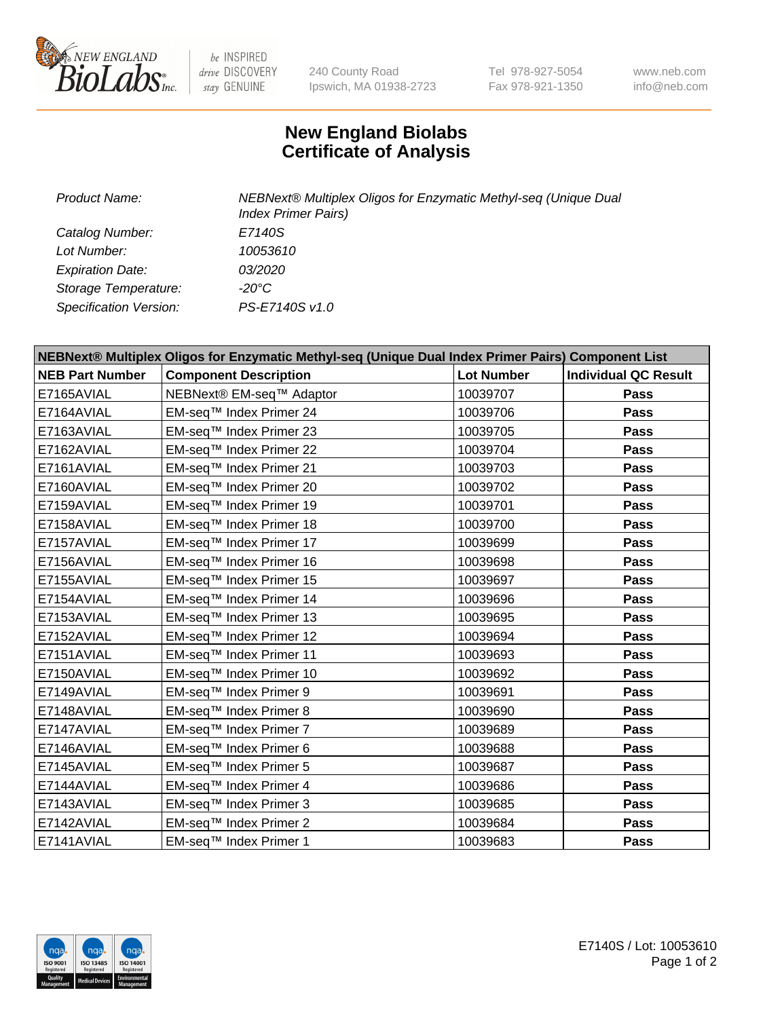

 $be$  INSPIRED drive DISCOVERY stay GENUINE

240 County Road Ipswich, MA 01938-2723 Tel 978-927-5054 Fax 978-921-1350 www.neb.com info@neb.com

## **New England Biolabs Certificate of Analysis**

| Product Name:           | NEBNext® Multiplex Oligos for Enzymatic Methyl-seq (Unique Dual<br><b>Index Primer Pairs)</b> |
|-------------------------|-----------------------------------------------------------------------------------------------|
| Catalog Number:         | E7140S                                                                                        |
| Lot Number:             | 10053610                                                                                      |
| <b>Expiration Date:</b> | <i>03/2020</i>                                                                                |
| Storage Temperature:    | -20°C                                                                                         |
| Specification Version:  | PS-E7140S v1.0                                                                                |

| NEBNext® Multiplex Oligos for Enzymatic Methyl-seq (Unique Dual Index Primer Pairs) Component List |                              |                   |                             |  |
|----------------------------------------------------------------------------------------------------|------------------------------|-------------------|-----------------------------|--|
| <b>NEB Part Number</b>                                                                             | <b>Component Description</b> | <b>Lot Number</b> | <b>Individual QC Result</b> |  |
| E7165AVIAL                                                                                         | NEBNext® EM-seq™ Adaptor     | 10039707          | Pass                        |  |
| E7164AVIAL                                                                                         | EM-seq™ Index Primer 24      | 10039706          | <b>Pass</b>                 |  |
| E7163AVIAL                                                                                         | EM-seq™ Index Primer 23      | 10039705          | <b>Pass</b>                 |  |
| E7162AVIAL                                                                                         | EM-seq™ Index Primer 22      | 10039704          | Pass                        |  |
| E7161AVIAL                                                                                         | EM-seq™ Index Primer 21      | 10039703          | Pass                        |  |
| E7160AVIAL                                                                                         | EM-seq™ Index Primer 20      | 10039702          | <b>Pass</b>                 |  |
| E7159AVIAL                                                                                         | EM-seq™ Index Primer 19      | 10039701          | <b>Pass</b>                 |  |
| E7158AVIAL                                                                                         | EM-seq™ Index Primer 18      | 10039700          | <b>Pass</b>                 |  |
| E7157AVIAL                                                                                         | EM-seq™ Index Primer 17      | 10039699          | Pass                        |  |
| E7156AVIAL                                                                                         | EM-seq™ Index Primer 16      | 10039698          | <b>Pass</b>                 |  |
| E7155AVIAL                                                                                         | EM-seq™ Index Primer 15      | 10039697          | <b>Pass</b>                 |  |
| E7154AVIAL                                                                                         | EM-seq™ Index Primer 14      | 10039696          | <b>Pass</b>                 |  |
| E7153AVIAL                                                                                         | EM-seq™ Index Primer 13      | 10039695          | <b>Pass</b>                 |  |
| E7152AVIAL                                                                                         | EM-seq™ Index Primer 12      | 10039694          | Pass                        |  |
| E7151AVIAL                                                                                         | EM-seq™ Index Primer 11      | 10039693          | <b>Pass</b>                 |  |
| E7150AVIAL                                                                                         | EM-seq™ Index Primer 10      | 10039692          | Pass                        |  |
| E7149AVIAL                                                                                         | EM-seq™ Index Primer 9       | 10039691          | <b>Pass</b>                 |  |
| E7148AVIAL                                                                                         | EM-seq™ Index Primer 8       | 10039690          | Pass                        |  |
| E7147AVIAL                                                                                         | EM-seq™ Index Primer 7       | 10039689          | <b>Pass</b>                 |  |
| E7146AVIAL                                                                                         | EM-seq™ Index Primer 6       | 10039688          | <b>Pass</b>                 |  |
| E7145AVIAL                                                                                         | EM-seq™ Index Primer 5       | 10039687          | <b>Pass</b>                 |  |
| E7144AVIAL                                                                                         | EM-seq™ Index Primer 4       | 10039686          | Pass                        |  |
| E7143AVIAL                                                                                         | EM-seq™ Index Primer 3       | 10039685          | Pass                        |  |
| E7142AVIAL                                                                                         | EM-seq™ Index Primer 2       | 10039684          | <b>Pass</b>                 |  |
| E7141AVIAL                                                                                         | EM-seq™ Index Primer 1       | 10039683          | <b>Pass</b>                 |  |